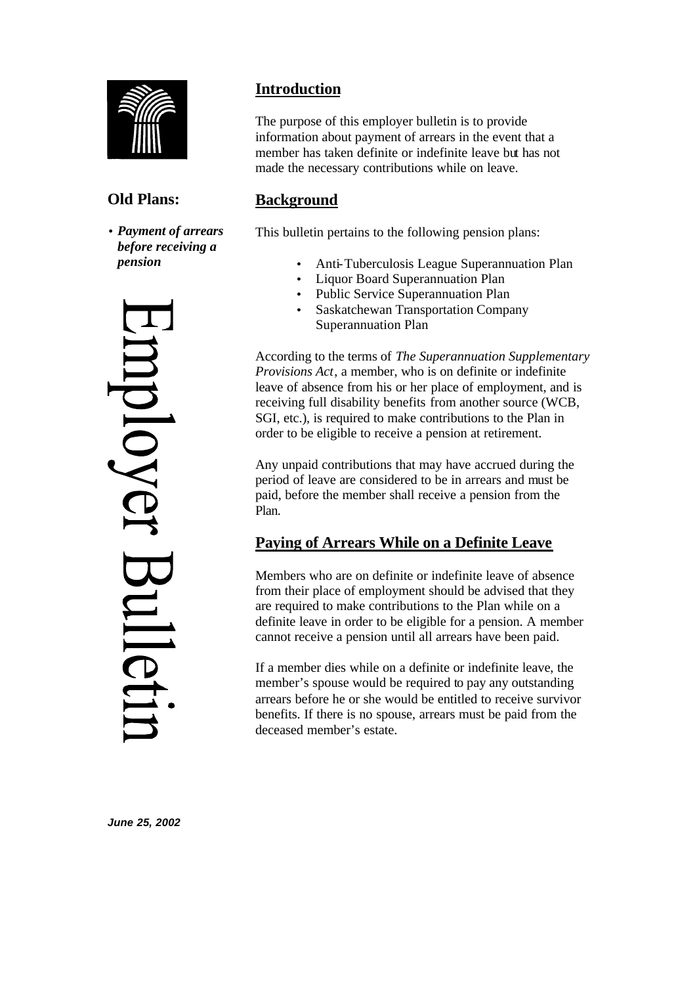

# **Old Plans:**

• *Payment of arrears before receiving a pension*



# **Introduction**

The purpose of this employer bulletin is to provide information about payment of arrears in the event that a member has taken definite or indefinite leave but has not made the necessary contributions while on leave.

# **Background**

This bulletin pertains to the following pension plans:

- Anti-Tuberculosis League Superannuation Plan
- Liquor Board Superannuation Plan
- Public Service Superannuation Plan
- Saskatchewan Transportation Company Superannuation Plan

According to the terms of *The Superannuation Supplementary Provisions Act*, a member, who is on definite or indefinite leave of absence from his or her place of employment, and is receiving full disability benefits from another source (WCB, SGI, etc.), is required to make contributions to the Plan in order to be eligible to receive a pension at retirement.

Any unpaid contributions that may have accrued during the period of leave are considered to be in arrears and must be paid, before the member shall receive a pension from the Plan.

# **Paying of Arrears While on a Definite Leave**

Members who are on definite or indefinite leave of absence from their place of employment should be advised that they are required to make contributions to the Plan while on a definite leave in order to be eligible for a pension. A member cannot receive a pension until all arrears have been paid.

If a member dies while on a definite or indefinite leave, the member's spouse would be required to pay any outstanding arrears before he or she would be entitled to receive survivor benefits. If there is no spouse, arrears must be paid from the deceased member's estate.